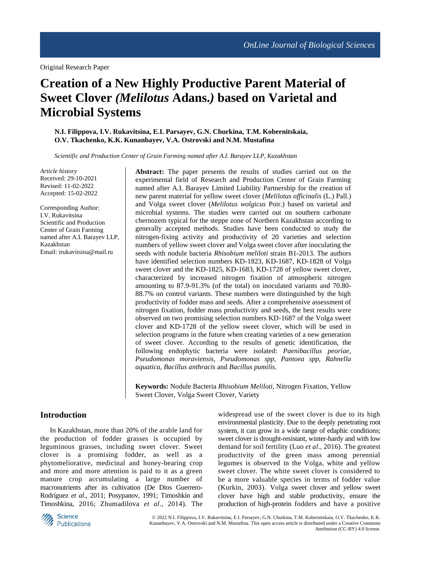Original Research Paper

# **Creation of a New Highly Productive Parent Material of Sweet Clover** *(Melilotus* **Adans.***)* **based on Varietal and Microbial Systems**

**N.I. Filippova, I.V. Rukavitsina, E.I. Parsayev, G.N. Churkina, T.M. Kobernitskaia, O.V. Tkachenko, K.K. Kunanbayev, V.A. Ostrovski and N.M. Mustafina**

*Scientific and Production Center of Grain Farming named after A.I. Barayev LLP, Kazakhstan*

*Article history* Received: 29-10-2021 Revised: 11-02-2022 Accepted: 15-02-2022

Corresponding Author: I.V. Rukavitsina Scientific and Production Center of Grain Farming named after A.I. Barayev LLP, Kazakhstan Email: irukavitsina@mail.ru

**Abstract:** The paper presents the results of studies carried out on the experimental field of Research and Production Center of Grain Farming named after A.I. Barayev Limited Liability Partnership for the creation of new parent material for yellow sweet clover (*Melilotus officinalis* (L.) Pall.) and Volga sweet clover (*Melilotus wolgicus* Poir.) based on varietal and microbial systems. The studies were carried out on southern carbonate chernozem typical for the steppe zone of Northern Kazakhstan according to generally accepted methods. Studies have been conducted to study the nitrogen-fixing activity and productivity of 20 varieties and selection numbers of yellow sweet clover and Volga sweet clover after inoculating the seeds with nodule bacteria *Rhisobium meliloti* strain B1-2013. The authors have identified selection numbers KD-1823, KD-1687, KD-1828 of Volga sweet clover and the KD-1825, KD-1683, KD-1728 of yellow sweet clover, characterized by increased nitrogen fixation of atmospheric nitrogen amounting to 87.9-91.3% (of the total) on inoculated variants and 70.80- 88.7% on control variants. These numbers were distinguished by the high productivity of fodder mass and seeds. After a comprehensive assessment of nitrogen fixation, fodder mass productivity and seeds, the best results were observed on two promising selection numbers KD-1687 of the Volga sweet clover and KD-1728 of the yellow sweet clover, which will be used in selection programs in the future when creating varieties of a new generation of sweet clover. According to the results of genetic identification, the following endophytic bacteria were isolated: *Paenibacillus peoriae, Pseudomonas moraviensis, Pseudomonas spp, Pantoea spp, Rahnella aquatica, Bacillus anthracis* and *Bacillus pumilis*.

**Keywords:** Nodule Bacteria *Rhisobium Meliloti*, Nitrogen Fixation, Yellow Sweet Clover, Volga Sweet Clover, Variety

#### **Introduction**

In Kazakhstan, more than 20% of the arable land for the production of fodder grasses is occupied by leguminous grasses, including sweet clover. Sweet clover is a promising fodder, as well as a phytomeliorative, medicinal and honey-bearing crop and more and more attention is paid to it as a green manure crop accumulating a large number of macronutrients after its cultivation (De Dios Guerrero-Rodríguez *et al*., 2011; Posypanov, 1991; Timoshkin and Timoshkina, 2016; Zhumadilova *et al*., 2014). The widespread use of the sweet clover is due to its high environmental plasticity. Due to the deeply penetrating root system, it can grow in a wide range of edaphic conditions; sweet clover is drought-resistant, winter-hardy and with low demand for soil fertility (Luo *et al*., 2016). The greatest productivity of the green mass among perennial legumes is observed in the Volga, white and yellow sweet clover. The white sweet clover is considered to be a more valuable species in terms of fodder value (Kurkin, 2003). Volga sweet clover and yellow sweet clover have high and stable productivity, ensure the production of high-protein fodders and have a positive



© 2022 N.I. Filippova, I.V. Rukavitsina, E.I. Parsayev, G.N. Churkina, T.M. Kobernitskaia, O.V. Tkachenko, K.K. Kunanbayev, V.A. Ostrovski and N.M. Mustafina. This open access article is distributed under a Creative Commons Attribution (CC-BY) 4.0 license.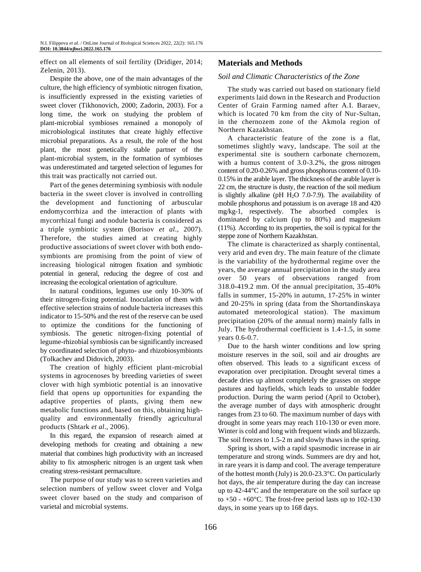effect on all elements of soil fertility (Dridiger, 2014; Zelenin, 2013).

Despite the above, one of the main advantages of the culture, the high efficiency of symbiotic nitrogen fixation, is insufficiently expressed in the existing varieties of sweet clover (Tikhonovich, 2000; Zadorin, 2003). For a long time, the work on studying the problem of plant-microbial symbioses remained a monopoly of microbiological institutes that create highly effective microbial preparations. As a result, the role of the host plant, the most genetically stable partner of the plant-microbial system, in the formation of symbioses was underestimated and targeted selection of legumes for this trait was practically not carried out.

Part of the genes determining symbiosis with nodule bacteria in the sweet clover is involved in controlling the development and functioning of arbuscular endomycorrhiza and the interaction of plants with mycorrhizal fungi and nodule bacteria is considered as a triple symbiotic system (Borisov *et al*., 2007). Therefore, the studies aimed at creating highly productive associations of sweet clover with both endosymbionts are promising from the point of view of increasing biological nitrogen fixation and symbiotic potential in general, reducing the degree of cost and increasing the ecological orientation of agriculture.

In natural conditions, legumes use only 10-30% of their nitrogen-fixing potential. Inoculation of them with effective selection strains of nodule bacteria increases this indicator to 15-50% and the rest of the reserve can be used to optimize the conditions for the functioning of symbiosis. The genetic nitrogen-fixing potential of legume-rhizobial symbiosis can be significantly increased by coordinated selection of phyto- and rhizobiosymbionts (Tolkachev and Didovich, 2003).

The creation of highly efficient plant-microbial systems in agrocenoses by breeding varieties of sweet clover with high symbiotic potential is an innovative field that opens up opportunities for expanding the adaptive properties of plants, giving them new metabolic functions and, based on this, obtaining highquality and environmentally friendly agricultural products (Shtark *et al*., 2006).

In this regard, the expansion of research aimed at developing methods for creating and obtaining a new material that combines high productivity with an increased ability to fix atmospheric nitrogen is an urgent task when creating stress-resistant permaculture.

The purpose of our study was to screen varieties and selection numbers of yellow sweet clover and Volga sweet clover based on the study and comparison of varietal and microbial systems.

# **Materials and Methods**

#### *Soil and Climatic Characteristics of the Zone*

The study was carried out based on stationary field experiments laid down in the Research and Production Center of Grain Farming named after A.I. Baraev, which is located 70 km from the city of Nur-Sultan, in the chernozem zone of the Akmola region of Northern Kazakhstan.

A characteristic feature of the zone is a flat, sometimes slightly wavy, landscape. The soil at the experimental site is southern carbonate chernozem, with a humus content of 3.0-3.2%, the gross nitrogen content of 0.20-0.26% and gross phosphorus content of 0.10- 0.15% in the arable layer. The thickness of the arable layer is 22 cm, the structure is dusty, the reaction of the soil medium is slightly alkaline (pH  $H<sub>2</sub>O$  7.0-7.9). The availability of mobile phosphorus and potassium is on average 18 and 420 mg/kg-1, respectively. The absorbed complex is dominated by calcium (up to 80%) and magnesium (11%). According to its properties, the soil is typical for the steppe zone of Northern Kazakhstan.

The climate is characterized as sharply continental, very arid and even dry. The main feature of the climate is the variability of the hydrothermal regime over the years, the average annual precipitation in the study area over 50 years of observations ranged from 318.0-419.2 mm. Of the annual precipitation, 35-40% falls in summer, 15-20% in autumn, 17-25% in winter and 20-25% in spring (data from the Shortandinskaya automated meteorological station). The maximum precipitation (20% of the annual norm) mainly falls in July. The hydrothermal coefficient is 1.4-1.5, in some years 0.6-0.7.

Due to the harsh winter conditions and low spring moisture reserves in the soil, soil and air droughts are often observed. This leads to a significant excess of evaporation over precipitation. Drought several times a decade dries up almost completely the grasses on steppe pastures and hayfields, which leads to unstable fodder production. During the warm period (April to October), the average number of days with atmospheric drought ranges from 23 to 60. The maximum number of days with drought in some years may reach 110-130 or even more. Winter is cold and long with frequent winds and blizzards. The soil freezes to 1.5-2 m and slowly thaws in the spring.

Spring is short, with a rapid spasmodic increase in air temperature and strong winds. Summers are dry and hot, in rare years it is damp and cool. The average temperature of the hottest month (July) is 20.0-23.3°C. On particularly hot days, the air temperature during the day can increase up to 42-44°C and the temperature on the soil surface up to  $+50 - +60$ °C. The frost-free period lasts up to 102-130 days, in some years up to 168 days.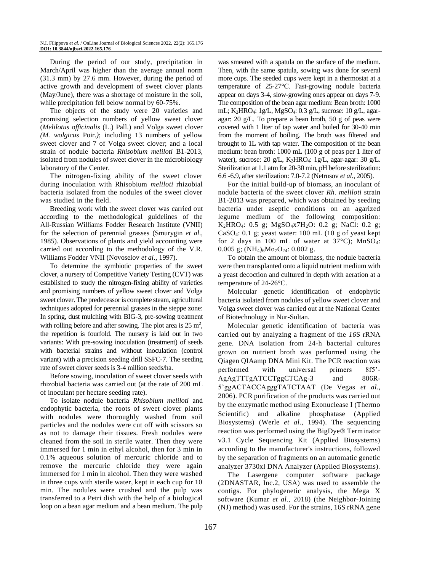During the period of our study, precipitation in March/April was higher than the average annual norm (31.3 mm) by 27.6 mm. However, during the period of active growth and development of sweet clover plants (May/June), there was a shortage of moisture in the soil, while precipitation fell below normal by 60-75%.

The objects of the study were 20 varieties and promising selection numbers of yellow sweet clover (*Melilotus officinalis* (L.) Pall.) and Volga sweet clover *(M. wolgicus* Poir.*)*; including 13 numbers of yellow sweet clover and 7 of Volga sweet clover; and a local strain of nodule bacteria *Rhisobium meliloti* B1-2013, isolated from nodules of sweet clover in the microbiology laboratory of the Center.

The nitrogen-fixing ability of the sweet clover during inoculation with Rhisobium *meliloti* rhizobial bacteria isolated from the nodules of the sweet clover was studied in the field.

Breeding work with the sweet clover was carried out according to the methodological guidelines of the All-Russian Williams Fodder Research Institute (VNII) for the selection of perennial grasses (Smurygin *et al*., 1985). Observations of plants and yield accounting were carried out according to the methodology of the V.R. Williams Fodder VNII (Novoselov *et al*., 1997).

To determine the symbiotic properties of the sweet clover, a nursery of Competitive Variety Testing (CVT) was established to study the nitrogen-fixing ability of varieties and promising numbers of yellow sweet clover and Volga sweet clover. The predecessor is complete steam, agricultural techniques adopted for perennial grasses in the steppe zone: In spring, dust mulching with BIG-3, pre-sowing treatment with rolling before and after sowing. The plot area is  $25 \text{ m}^2$ , the repetition is fourfold. The nursery is laid out in two variants: With pre-sowing inoculation (treatment) of seeds with bacterial strains and without inoculation (control variant) with a precision seeding drill SSFC-7. The seeding rate of sweet clover seeds is 3-4 million seeds/ha.

Before sowing, inoculation of sweet clover seeds with rhizobial bacteria was carried out (at the rate of 200 mL of inoculant per hectare seeding rate).

To isolate nodule bacteria *Rhisobium meliloti* and endophytic bacteria, the roots of sweet clover plants with nodules were thoroughly washed from soil particles and the nodules were cut off with scissors so as not to damage their tissues. Fresh nodules were cleaned from the soil in sterile water. Then they were immersed for 1 min in ethyl alcohol, then for 3 min in 0.1% aqueous solution of mercuric chloride and to remove the mercuric chloride they were again immersed for 1 min in alcohol. Then they were washed in three cups with sterile water, kept in each cup for 10 min. The nodules were crushed and the pulp was transferred to a Petri dish with the help of a biological loop on a bean agar medium and a bean medium. The pulp was smeared with a spatula on the surface of the medium. Then, with the same spatula, sowing was done for several more cups. The seeded cups were kept in a thermostat at a temperature of 25-27°С. Fast-growing nodule bacteria appear on days 3-4, slow-growing ones appear on days 7-9. The composition of the bean agar medium: Bean broth: 1000 mL; K2HRO4: 1g/L, MgSO4: 0.3 g/L, sucrose: 10 g/L, agaragar: 20 g/L. To prepare a bean broth, 50 g of peas were covered with 1 liter of tap water and boiled for 30-40 min from the moment of boiling. The broth was filtered and brought to 1L with tap water. The composition of the bean medium: bean broth: 1000 mL (100 g of peas per 1 liter of water), sucrose: 20 g/L, K2HRO4: 1g/L, agar-agar: 30 g/L. Sterilization at 1.1 atm for 20-30 min, pH before sterilization: 6.6 -6.9, after sterilization: 7.0-7.2 (Netrusov *et al*., 2005).

For the initial build-up of biomass, an inoculant of nodule bacteria of the sweet clover *Rh. meliloti* strain B1-2013 was prepared, which was obtained by seeding bacteria under aseptic conditions on an agarized legume medium of the following composition: K2HRO4: 0.5 g; MgSO4x7H2O: 0.2 g; NaCl: 0.2 g; CaSO4: 0.1 g; yeast water: 100 mL (10 g of yeast kept for 2 days in 100 mL of water at  $37^{\circ}$ C); MnSO<sub>4</sub>: 0.005 g;  $(NH_4)_6M_07O_{24}$ : 0.002 g.

To obtain the amount of biomass, the nodule bacteria were then transplanted onto a liquid nutrient medium with a yeast decoction and cultured in depth with aeration at a temperature of 24-26°C.

Molecular genetic identification of endophytic bacteria isolated from nodules of yellow sweet clover and Volga sweet clover was carried out at the National Center of Biotechnology in Nur-Sultan.

Molecular genetic identification of bacteria was carried out by analyzing a fragment of the *16*S rRNA gene. DNA isolation from 24-h bacterial cultures grown on nutrient broth was performed using the Qiagen QIAamp DNA Mini Kit. The PCR reaction was performed with universal primers 8f5'- AgAgTTTgATCCTggCTCAg-3 and 806R-5'ggACTACCAgggTATCTAAT (De Vegas *et al*., 2006). PCR purification of the products was carried out by the enzymatic method using Exonuclease I (Thermo Scientific) and alkaline phosphatase (Applied Biosystems) (Werle *et al*., 1994). The sequencing reaction was performed using the BigDye® Terminator v3.1 Cycle Sequencing Kit (Applied Biosystems) according to the manufacturer's instructions, followed by the separation of fragments on an automatic genetic analyzer 3730xl DNA Analyzer (Applied Biosystems).

The Lasergene computer software package (2DNASTAR, Inc.2, USA) was used to assemble the contigs. For phylogenetic analysis, the Mega X software (Kumar *et al*., 2018) (the Neighbor-Joining (NJ) method) was used. For the strains, 16S rRNA gene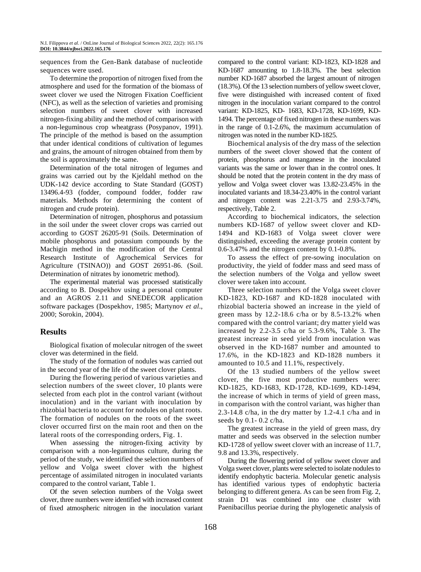sequences from the Gen-Bank database of nucleotide sequences were used.

To determine the proportion of nitrogen fixed from the atmosphere and used for the formation of the biomass of sweet clover we used the Nitrogen Fixation Coefficient (NFC), as well as the selection of varieties and promising selection numbers of sweet clover with increased nitrogen-fixing ability and the method of comparison with a non-leguminous crop wheatgrass (Posypanov, 1991). The principle of the method is based on the assumption that under identical conditions of cultivation of legumes and grains, the amount of nitrogen obtained from them by the soil is approximately the same.

Determination of the total nitrogen of legumes and grains was carried out by the Kjeldahl method on the UDK-142 device according to State Standard (GOST) 13496.4-93 (fodder, compound fodder, fodder raw materials. Methods for determining the content of nitrogen and crude protein).

Determination of nitrogen, phosphorus and potassium in the soil under the sweet clover crops was carried out according to GOST 26205-91 (Soils. Determination of mobile phosphorus and potassium compounds by the Machigin method in the modification of the Central Research Institute of Agrochemical Services for Agriculture (TSINAO)) and GOST 26951-86. (Soil. Determination of nitrates by ionometric method).

The experimental material was processed statistically according to B. Dospekhov using a personal computer and an AGROS 2.11 and SNEDECOR application software packages (Dospekhov, 1985; Martynov *et al*., 2000; Sorokin, 2004).

# **Results**

Biological fixation of molecular nitrogen of the sweet clover was determined in the field.

The study of the formation of nodules was carried out in the second year of the life of the sweet clover plants.

During the flowering period of various varieties and selection numbers of the sweet clover, 10 plants were selected from each plot in the control variant (without inoculation) and in the variant with inoculation by rhizobial bacteria to account for nodules on plant roots. The formation of nodules on the roots of the sweet clover occurred first on the main root and then on the lateral roots of the corresponding orders, Fig. 1.

When assessing the nitrogen-fixing activity by comparison with a non-leguminous culture, during the period of the study, we identified the selection numbers of yellow and Volga sweet clover with the highest percentage of assimilated nitrogen in inoculated variants compared to the control variant, Table 1.

Of the seven selection numbers of the Volga sweet clover, three numbers were identified with increased content of fixed atmospheric nitrogen in the inoculation variant compared to the control variant: KD-1823, KD-1828 and KD-1687 amounting to 1.8-18.3%. The best selection number KD-1687 absorbed the largest amount of nitrogen (18.3%). Of the 13 selection numbers of yellow sweet clover, five were distinguished with increased content of fixed nitrogen in the inoculation variant compared to the control variant: KD-1825, KD- 1683, KD-1728, KD-1699, KD-1494. The percentage of fixed nitrogen in these numbers was in the range of 0.1-2.6%, the maximum accumulation of nitrogen was noted in the number KD-1825.

Biochemical analysis of the dry mass of the selection numbers of the sweet clover showed that the content of protein, phosphorus and manganese in the inoculated variants was the same or lower than in the control ones. It should be noted that the protein content in the dry mass of yellow and Volga sweet clover was 13.82-23.45% in the inoculated variants and 18.34-23.40% in the control variant and nitrogen content was 2.21-3.75 and 2.93-3.74%, respectively, Table 2.

According to biochemical indicators, the selection numbers KD-1687 of yellow sweet clover and KD-1494 and KD-1683 of Volga sweet clover were distinguished, exceeding the average protein content by 0.6-3.47% and the nitrogen content by 0.1-0.8%.

To assess the effect of pre-sowing inoculation on productivity, the yield of fodder mass and seed mass of the selection numbers of the Volga and yellow sweet clover were taken into account.

Three selection numbers of the Volga sweet clover KD-1823, KD-1687 and KD-1828 inoculated with rhizobial bacteria showed an increase in the yield of green mass by 12.2-18.6 c/ha or by 8.5-13.2% when compared with the control variant; dry matter yield was increased by 2.2-3.5 c/ha or 5.3-9.6%, Table 3. The greatest increase in seed yield from inoculation was observed in the KD-1687 number and amounted to 17.6%, in the KD-1823 and KD-1828 numbers it amounted to 10.5 and 11.1%, respectively.

Of the 13 studied numbers of the yellow sweet clover, the five most productive numbers were: KD-1825, KD-1683, KD-1728, KD-1699, KD-1494, the increase of which in terms of yield of green mass, in comparison with the control variant, was higher than 2.3-14.8 c/ha, in the dry matter by 1.2-4.1 c/ha and in seeds by 0.1- 0.2 c/ha.

The greatest increase in the yield of green mass, dry matter and seeds was observed in the selection number KD-1728 of yellow sweet clover with an increase of 11.7, 9.8 and 13.3%, respectively.

During the flowering period of yellow sweet clover and Volga sweet clover, plants were selected to isolate nodules to identify endophytic bacteria. Molecular genetic analysis has identified various types of endophytic bacteria belonging to different genera. As can be seen from Fig. 2, strain D1 was combined into one cluster with Paenibacillus peoriae during the phylogenetic analysis of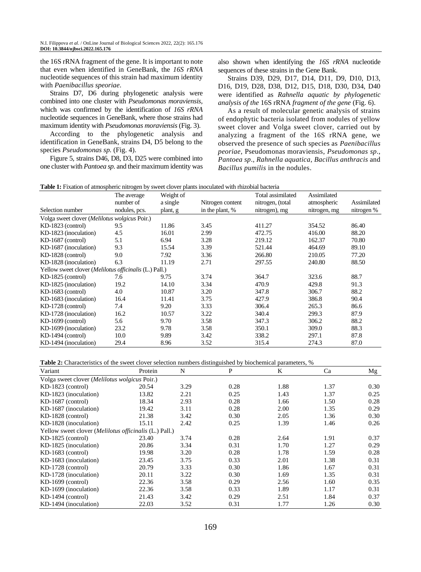the 16S rRNA fragment of the gene*.* It is important to note that even when identified in GeneBank, the *16S rRNA* nucleotide sequences of this strain had maximum identity with *Paenibacillus speoriae*.

Strains D7, D6 during phylogenetic analysis were combined into one cluster with *Pseudomonas moraviensis,* which was confirmed by the identification of *16S rRNA* nucleotide sequences in GeneBank, where those strains had maximum identity with *Pseudomonas moraviensis* (Fig. 3).

According to the phylogenetic analysis and identification in GeneBank, strains D4, D5 belong to the species *[Pseudomonas sp](http://blast.ncbi.nlm.nih.gov/Blast.cgi#alnHdr_772402130).* (Fig. 4).

Figure 5, strains D46, D8, D3, D25 were combined into one cluster with *Pantoea sp.* and their maximum identity was also shown when identifying the *16S rRNA* nucleotide sequences of these strains in the Gene Bank.

Strains D39, D29, D17, D14, D11, D9, D10, D13, D16, D19, D28, D38, D12, D15, D18, D30, D34, D40 were identified as *Rahnella aquatic by phylogenetic analysis of the* 16S rRNA *fragment of the gene* (Fig. 6).

As a result of molecular genetic analysis of strains of endophytic bacteria isolated from nodules of yellow sweet clover and Volga sweet clover, carried out by analyzing a fragment of the 16S rRNA gene, we observed the presence of such species as *Paenibacillus peoriae*, [Pseudomonas moraviensis,](http://blast.ncbi.nlm.nih.gov/Blast.cgi#alnHdr_772402130) *[Pseudomonas sp](http://blast.ncbi.nlm.nih.gov/Blast.cgi#alnHdr_772402130)*., *Pantoea sp*., *Rahnella aquatica*, *Bacillus anthracis* and *Bacillus pumilis* in the nodules.

**Table 1:** Fixation of atmospheric nitrogen by sweet clover plants inoculated with rhizobial bacteria

|                                                                | The average<br>number of | Weight of<br>a single | Nitrogen content | Total assimilated<br>nitrogen, (total | Assimilated<br>atmospheric | Assimilated |
|----------------------------------------------------------------|--------------------------|-----------------------|------------------|---------------------------------------|----------------------------|-------------|
| Selection number                                               | nodules, pcs.            | plant, g              | in the plant, %  | nitrogen), mg                         | nitrogen, mg               | nitrogen %  |
| Volga sweet clover (Melilotus wolgicus Poir.)                  |                          |                       |                  |                                       |                            |             |
| $KD-1823$ (control)                                            | 9.5                      | 11.86                 | 3.45             | 411.27                                | 354.52                     | 86.40       |
| KD-1823 (inoculation)                                          | 4.5                      | 16.01                 | 2.99             | 472.75                                | 416.00                     | 88.20       |
| $KD-1687$ (control)                                            | 5.1                      | 6.94                  | 3.28             | 219.12                                | 162.37                     | 70.80       |
| KD-1687 (inoculation)                                          | 9.3                      | 15.54                 | 3.39             | 521.44                                | 464.69                     | 89.10       |
| KD-1828 (control)                                              | 9.0                      | 7.92                  | 3.36             | 266.80                                | 210.05                     | 77.20       |
| KD-1828 (inoculation)                                          | 6.3                      | 11.19                 | 2.71             | 297.55                                | 240.80                     | 88.50       |
| Yellow sweet clover ( <i>Melilotus officinalis</i> (L.) Pall.) |                          |                       |                  |                                       |                            |             |
| $KD-1825$ (control)                                            | 7.6                      | 9.75                  | 3.74             | 364.7                                 | 323.6                      | 88.7        |
| KD-1825 (inoculation)                                          | 19.2                     | 14.10                 | 3.34             | 470.9                                 | 429.8                      | 91.3        |
| $KD-1683$ (control)                                            | 4.0                      | 10.87                 | 3.20             | 347.8                                 | 306.7                      | 88.2        |
| KD-1683 (inoculation)                                          | 16.4                     | 11.41                 | 3.75             | 427.9                                 | 386.8                      | 90.4        |
| KD-1728 (control)                                              | 7.4                      | 9.20                  | 3.33             | 306.4                                 | 265.3                      | 86.6        |
| KD-1728 (inoculation)                                          | 16.2                     | 10.57                 | 3.22             | 340.4                                 | 299.3                      | 87.9        |
| $KD-1699$ (control)                                            | 5.6                      | 9.70                  | 3.58             | 347.3                                 | 306.2                      | 88.2        |
| KD-1699 (inoculation)                                          | 23.2                     | 9.78                  | 3.58             | 350.1                                 | 309.0                      | 88.3        |
| $KD-1494$ (control)                                            | 10.0                     | 9.89                  | 3.42             | 338.2                                 | 297.1                      | 87.8        |
| KD-1494 (inoculation)                                          | 29.4                     | 8.96                  | 3.52             | 315.4                                 | 274.3                      | 87.0        |

**Table 2:** Characteristics of the sweet clover selection numbers distinguished by biochemical parameters, %

| Variant                                                        | Protein | N    | $\mathbf{P}$ | K    | Ca   | Mg   |
|----------------------------------------------------------------|---------|------|--------------|------|------|------|
| Volga sweet clover (Melilotus wolgicus Poir.)                  |         |      |              |      |      |      |
| $KD-1823$ (control)                                            | 20.54   | 3.29 | 0.28         | 1.88 | 1.37 | 0.30 |
| KD-1823 (inoculation)                                          | 13.82   | 2.21 | 0.25         | 1.43 | 1.37 | 0.25 |
| $KD-1687$ (control)                                            | 18.34   | 2.93 | 0.28         | 1.66 | 1.50 | 0.28 |
| KD-1687 (inoculation)                                          | 19.42   | 3.11 | 0.28         | 2.00 | 1.35 | 0.29 |
| KD-1828 (control)                                              | 21.38   | 3.42 | 0.30         | 2.05 | 1.36 | 0.30 |
| KD-1828 (inoculation)                                          | 15.11   | 2.42 | 0.25         | 1.39 | 1.46 | 0.26 |
| Yellow sweet clover ( <i>Melilotus officinalis</i> (L.) Pall.) |         |      |              |      |      |      |
| $KD-1825$ (control)                                            | 23.40   | 3.74 | 0.28         | 2.64 | 1.91 | 0.37 |
| KD-1825 (inoculation)                                          | 20.86   | 3.34 | 0.31         | 1.70 | 1.27 | 0.29 |
| $KD-1683$ (control)                                            | 19.98   | 3.20 | 0.28         | 1.78 | 1.59 | 0.28 |
| KD-1683 (inoculation)                                          | 23.45   | 3.75 | 0.33         | 2.01 | 1.38 | 0.31 |
| $KD-1728$ (control)                                            | 20.79   | 3.33 | 0.30         | 1.86 | 1.67 | 0.31 |
| KD-1728 (inoculation)                                          | 20.11   | 3.22 | 0.30         | 1.69 | 1.35 | 0.31 |
| KD-1699 (control)                                              | 22.36   | 3.58 | 0.29         | 2.56 | 1.60 | 0.35 |
| KD-1699 (inoculation)                                          | 22.36   | 3.58 | 0.33         | 1.89 | 1.17 | 0.31 |
| $KD-1494$ (control)                                            | 21.43   | 3.42 | 0.29         | 2.51 | 1.84 | 0.37 |
| KD-1494 (inoculation)                                          | 22.03   | 3.52 | 0.31         | 1.77 | 1.26 | 0.30 |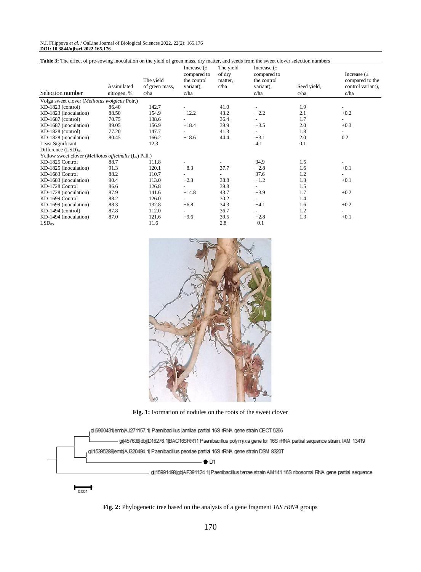#### N.I. Filippova *et al*. / OnLine Journal of Biological Sciences 2022, 22(2): 165.176 **DOI: 10.3844/ojbsci.2022.165.176**

| Table 3: The effect of pre-sowing inoculation on the yield of green mass, dry matter, and seeds from the sweet clover selection numbers |                            |                                     |                                                                    |                                        |                                                                    |                     |                                                                 |  |
|-----------------------------------------------------------------------------------------------------------------------------------------|----------------------------|-------------------------------------|--------------------------------------------------------------------|----------------------------------------|--------------------------------------------------------------------|---------------------|-----------------------------------------------------------------|--|
| Selection number                                                                                                                        | Assimilated<br>nitrogen, % | The yield<br>of green mass,<br>c/ha | Increase $(\pm$<br>compared to<br>the control<br>variant),<br>c/ha | The yield<br>of dry<br>matter.<br>c/ha | Increase $(\pm$<br>compared to<br>the control<br>variant),<br>c/ha | Seed yield,<br>c/ha | Increase $(\pm$<br>compared to the<br>control variant),<br>c/ha |  |
| Volga sweet clover (Melilotus wolgicus Poir.)                                                                                           |                            |                                     |                                                                    |                                        |                                                                    |                     |                                                                 |  |
| $KD-1823$ (control)                                                                                                                     | 86.40                      | 142.7                               |                                                                    | 41.0                                   | ۰.                                                                 | 1.9                 |                                                                 |  |
| KD-1823 (inoculation)                                                                                                                   | 88.50                      | 154.9                               | $+12.2$                                                            | 43.2                                   | $+2.2$                                                             | 2.1                 | $+0.2$                                                          |  |
| $KD-1687$ (control)                                                                                                                     | 70.75                      | 138.6                               |                                                                    | 36.4                                   | $\sim$                                                             | 1.7                 | $\overline{\phantom{0}}$                                        |  |
| KD-1687 (inoculation)                                                                                                                   | 89.05                      | 156.9                               | $+18.4$                                                            | 39.9                                   | $+3.5$                                                             | 2.0                 | $+0.3$                                                          |  |
| KD-1828 (control)                                                                                                                       | 77.20                      | 147.7                               |                                                                    | 41.3                                   |                                                                    | 1.8                 | $\overline{\phantom{0}}$                                        |  |
| KD-1828 (inoculation)                                                                                                                   | 80.45                      | 166.2                               | $+18.6$                                                            | 44.4                                   | $+3.1$                                                             | 2.0                 | 0.2                                                             |  |
| Least Significant                                                                                                                       |                            | 12.3                                |                                                                    |                                        | 4.1                                                                | 0.1                 |                                                                 |  |
| Difference (LSD) <sub>05</sub>                                                                                                          |                            |                                     |                                                                    |                                        |                                                                    |                     |                                                                 |  |
| Yellow sweet clover (Melilotus officinalis (L.) Pall.)                                                                                  |                            |                                     |                                                                    |                                        |                                                                    |                     |                                                                 |  |
| KD-1825 Control                                                                                                                         | 88.7                       | 111.8                               |                                                                    |                                        | 34.9                                                               | 1.5                 |                                                                 |  |
| KD-1825 (inoculation)                                                                                                                   | 91.3                       | 120.1                               | $+8.3$                                                             | 37.7                                   | $+2.8$                                                             | 1.6                 | $+0.1$                                                          |  |
| KD-1683 Control                                                                                                                         | 88.2                       | 110.7                               |                                                                    |                                        | 37.6                                                               | 1.2                 | $\overline{\phantom{0}}$                                        |  |
| KD-1683 (inoculation)                                                                                                                   | 90.4                       | 113.0                               | $+2.3$                                                             | 38.8                                   | $+1.2$                                                             | 1.3                 | $+0.1$                                                          |  |
| KD-1728 Control                                                                                                                         | 86.6                       | 126.8                               |                                                                    | 39.8                                   | $\overline{\phantom{a}}$                                           | 1.5                 |                                                                 |  |
| KD-1728 (inoculation)                                                                                                                   | 87.9                       | 141.6                               | $+14.8$                                                            | 43.7                                   | $+3.9$                                                             | 1.7                 | $+0.2$                                                          |  |
| KD-1699 Control                                                                                                                         | 88.2                       | 126.0                               |                                                                    | 30.2                                   | $\overline{\phantom{a}}$                                           | 1.4                 | $\overline{\phantom{0}}$                                        |  |
| KD-1699 (inoculation)                                                                                                                   | 88.3                       | 132.8                               | $+6.8$                                                             | 34.3                                   | $+4.1$                                                             | 1.6                 | $+0.2$                                                          |  |
| $KD-1494$ (control)                                                                                                                     | 87.8                       | 112.0                               |                                                                    | 36.7                                   | $\sim$                                                             | 1.2                 | Ξ.                                                              |  |
| KD-1494 (inoculation)                                                                                                                   | 87.0                       | 121.6                               | $+9.6$                                                             | 39.5                                   | $+2.8$                                                             | 1.3                 | $+0.1$                                                          |  |
| LSD <sub>05</sub>                                                                                                                       |                            | 11.6                                |                                                                    | 2.8                                    | 0.1                                                                |                     |                                                                 |  |



**Fig. 1:** Formation of nodules on the roots of the sweet clover



0.001

**Fig. 2:** Phylogenetic tree based on the analysis of a gene fragment *16S rRNA* groups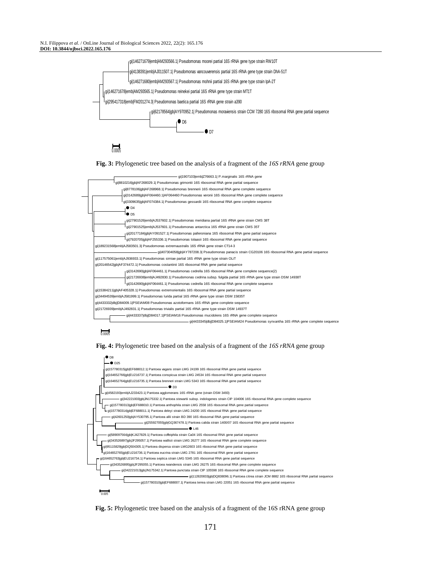







**Fig. 4:** Phylogenetic tree based on the analysis of a fragment of the *16S rRNA* gene group



**Fig. 5:** Phylogenetic tree based on the analysis of a fragment of the 16S rRNA gene group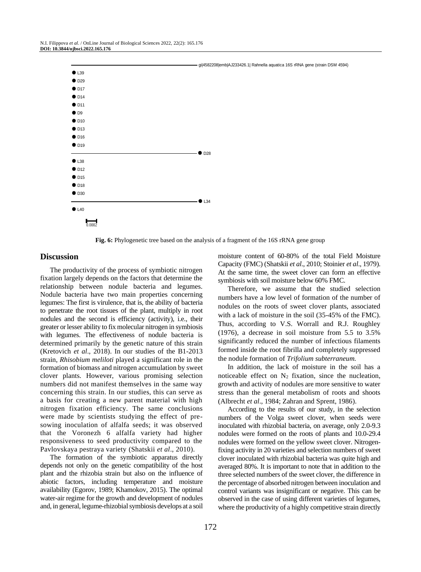

**Fig. 6:** Phylogenetic tree based on the analysis of a fragment of the 16S rRNA gene group

#### **Discussion**

The productivity of the process of symbiotic nitrogen fixation largely depends on the factors that determine the relationship between nodule bacteria and legumes. Nodule bacteria have two main properties concerning legumes: The first is virulence, that is, the ability of bacteria to penetrate the root tissues of the plant, multiply in root nodules and the second is efficiency (activity), i.e., their greater or lesser ability to fix molecular nitrogen in symbiosis with legumes. The effectiveness of nodule bacteria is determined primarily by the genetic nature of this strain (Kretovich *et al*., 2018). In our studies of the B1-2013 strain, *Rhisobium meliloti* played a significant role in the formation of biomass and nitrogen accumulation by sweet clover plants. However, various promising selection numbers did not manifest themselves in the same way concerning this strain. In our studies, this can serve as a basis for creating a new parent material with high nitrogen fixation efficiency. The same conclusions were made by scientists studying the effect of presowing inoculation of alfalfa seeds; it was observed that the Voronezh 6 alfalfa variety had higher responsiveness to seed productivity compared to the Pavlovskaya pestraya variety (Shatskii *et al*., 2010).

The formation of the symbiotic apparatus directly depends not only on the genetic compatibility of the host plant and the rhizobia strain but also on the influence of abiotic factors, including temperature and moisture availability (Egorov, 1989; Khamokov, 2015). The optimal water-air regime for the growth and development of nodules and, in general, legume-rhizobial symbiosis develops at a soil moisture content of 60-80% of the total Field Moisture Capacity (FMC) (Shatskii *et al*., 2010; Stoinier *et al*., 1979). At the same time, the sweet clover can form an effective symbiosis with soil moisture below 60% FMC.

Therefore, we assume that the studied selection numbers have a low level of formation of the number of nodules on the roots of sweet clover plants, associated with a lack of moisture in the soil (35-45% of the FMC). Thus, according to V.S. Worrall and R.J. Roughley (1976), a decrease in soil moisture from 5.5 to 3.5% significantly reduced the number of infectious filaments formed inside the root fibrilla and completely suppressed the nodule formation of *Trifolium subterraneum.*

In addition, the lack of moisture in the soil has a noticeable effect on  $N_2$  fixation, since the nucleation, growth and activity of nodules are more sensitive to water stress than the general metabolism of roots and shoots (Albrecht *et al*., 1984; Zahran and Sprent, 1986).

According to the results of our study, in the selection numbers of the Volga sweet clover, when seeds were inoculated with rhizobial bacteria, on average, only 2.0-9.3 nodules were formed on the roots of plants and 10.0-29.4 nodules were formed on the yellow sweet clover. Nitrogenfixing activity in 20 varieties and selection numbers of sweet clover inoculated with rhizobial bacteria was quite high and averaged 80%. It is important to note that in addition to the three selected numbers of the sweet clover, the difference in the percentage of absorbed nitrogen between inoculation and control variants was insignificant or negative. This can be observed in the case of using different varieties of legumes, where the productivity of a highly competitive strain directly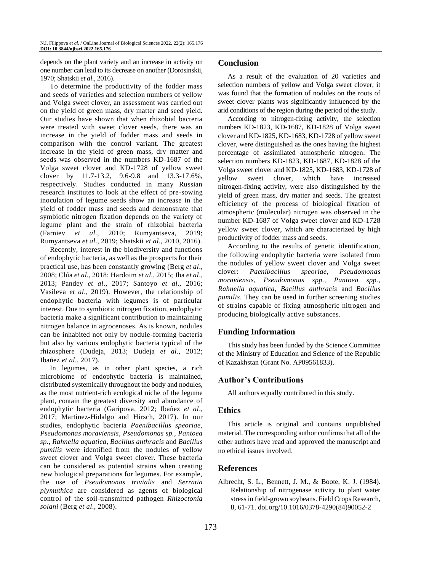depends on the plant variety and an increase in activity on one number can lead to its decrease on another (Dorosinskii, 1970; Shatskii *et al*., 2016).

To determine the productivity of the fodder mass and seeds of varieties and selection numbers of yellow and Volga sweet clover, an assessment was carried out on the yield of green mass, dry matter and seed yield. Our studies have shown that when rhizobial bacteria were treated with sweet clover seeds, there was an increase in the yield of fodder mass and seeds in comparison with the control variant. The greatest increase in the yield of green mass, dry matter and seeds was observed in the numbers KD-1687 of the Volga sweet clover and KD-1728 of yellow sweet clover by 11.7-13.2, 9.6-9.8 and 13.3-17.6%, respectively. Studies conducted in many Russian research institutes to look at the effect of pre-sowing inoculation of legume seeds show an increase in the yield of fodder mass and seeds and demonstrate that symbiotic nitrogen fixation depends on the variety of legume plant and the strain of rhizobial bacteria (Farniev *et al*., 2010; Rumyantseva, 2019; Rumyantseva *et al*., 2019; Shatskii *et al*., 2010, 2016).

Recently, interest in the biodiversity and functions of endophytic bacteria, as well as the prospects for their practical use, has been constantly growing (Berg *et al*., 2008; Clúa *et al*., 2018; Hardoim *et al*., 2015; Jha *et al*., 2013; Pandey *et al*., 2017; Santoyo *et al*., 2016; Vasileva *et al*., 2019). However, the relationship of endophytic bacteria with legumes is of particular interest. Due to symbiotic nitrogen fixation, endophytic bacteria make a significant contribution to maintaining nitrogen balance in agrocenoses. As is known, nodules can be inhabited not only by nodule-forming bacteria but also by various endophytic bacteria typical of the rhizosphere (Dudeja, 2013; Dudeja *et al*., 2012; Ibañez *et al*., 2017).

In legumes, as in other plant species, a rich microbiome of endophytic bacteria is maintained, distributed systemically throughout the body and nodules, as the most nutrient-rich ecological niche of the legume plant, contain the greatest diversity and abundance of endophytic bacteria (Garipova, 2012; Ibañez *et al*., 2017; Martinez-Hidalgo and Hirsch, 2017). In our studies, endophytic bacteria *Paenibacillus speoriae, Pseudomonas moraviensis, Pseudomonas sp., Pantoea sp., Rahnella aquatica, Bacillus anthracis* and *Bacillus pumilis* were identified from the nodules of yellow sweet clover and Volga sweet clover. These bacteria can be considered as potential strains when creating new biological preparations for legumes. For example, the use of *Pseudomonas trivialis* and *Serratia plymuthica* are considered as agents of biological control of the soil-transmitted pathogen *Rhizoctonia solani* (Berg *et al*., 2008).

### **Conclusion**

As a result of the evaluation of 20 varieties and selection numbers of yellow and Volga sweet clover, it was found that the formation of nodules on the roots of sweet clover plants was significantly influenced by the arid conditions of the region during the period of the study.

According to nitrogen-fixing activity, the selection numbers KD-1823, KD-1687, KD-1828 of Volga sweet clover and KD-1825, KD-1683, KD-1728 of yellow sweet clover, were distinguished as the ones having the highest percentage of assimilated atmospheric nitrogen. The selection numbers KD-1823, KD-1687, KD-1828 of the Volga sweet clover and KD-1825, KD-1683, KD-1728 of yellow sweet clover, which have increased nitrogen-fixing activity, were also distinguished by the yield of green mass, dry matter and seeds. The greatest efficiency of the process of biological fixation of atmospheric (molecular) nitrogen was observed in the number KD-1687 of Volga sweet clover and KD-1728 yellow sweet clover, which are characterized by high productivity of fodder mass and seeds.

According to the results of genetic identification, the following endophytic bacteria were isolated from the nodules of yellow sweet clover and Volga sweet clover: *Paenibacillus speoriae, Pseudomonas moraviensis, Pseudomonas spp., Pantoea spp., Rahnella aquatica, Bacillus anthracis* and *Bacillus pumilis*. They can be used in further screening studies of strains capable of fixing atmospheric nitrogen and producing biologically active substances.

#### **Funding Information**

This study has been funded by the Science Committee of the Ministry of Education and Science of the Republic of Kazakhstan (Grant No. AP09561833).

# **Author's Contributions**

All authors equally contributed in this study.

#### **Ethics**

This article is original and contains unpublished material. The corresponding author confirms that all of the other authors have read and approved the manuscript and no ethical issues involved.

# **References**

Albrecht, S. L., Bennett, J. M., & Boote, K. J. (1984). Relationship of nitrogenase activity to plant water stress in field-grown soybeans. Field Crops Research, 8, 61-71[. doi.org/10.1016/0378-4290\(84\)90052-2](https://doi.org/10.1016/0378-4290(84)90052-2)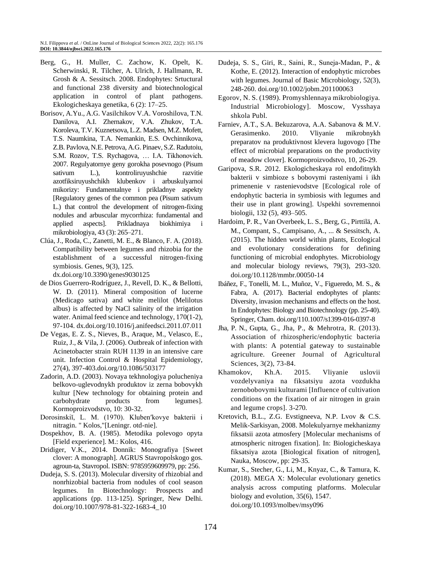- Berg, G., H. Muller, C. Zachow, K. Opelt, K. Scherwinski, R. Tilcher, A. Ulrich, J. Hallmann, R. Grosh & A. Sessitsch. 2008. Endophytes: Srtuctural and functional 238 diversity and biotechnological application in control of plant pathogens. Ekologicheskaya genetika, 6 (2): 17–25.
- Borisov, A.Yu., A.G. Vasilchikov V.A. Voroshilova, T.N. Danilova, A.I. Zhernakov, V.A. Zhukov, T.A. Koroleva, T.V. Kuznetsova, L.Z. Madsen, M.Z. Mofett, T.S. Naumkina, T.A. Nemankin, E.S. Ovchinnikova, Z.B. Pavlova, N.E. Petrova, A.G. Pinaev, S.Z. Radutoiu, S.M. Rozov, T.S. Rychagova, … I.A. Tikhonovich. 2007. Regulyatornye geny gorokha posevnogo (Pisum sativum L.), kontroliruyushchie razvitie azotfiksiruyushchikh klubenkov i arbuskulyarnoi mikorizy: Fundamentalnye i prikladnye aspekty [Regulatory genes of the common pea (Pisum sativum L.) that control the development of nitrogen-fixing nodules and arbuscular mycorrhiza: fundamental and applied aspects]. Prikladnaya biokhimiya i mikrobiologiya, 43 (3): 265–271.
- Clúa, J., Roda, C., Zanetti, M. E., & Blanco, F. A. (2018). Compatibility between legumes and rhizobia for the establishment of a successful nitrogen-fixing symbiosis. Genes, 9(3), 125.

[dx.doi.org/10.3390/genes9030125](http://dx.doi.org/10.3390/genes9030125)

- de Dios Guerrero-Rodríguez, J., Revell, D. K., & Bellotti, W. D. (2011). Mineral composition of lucerne (Medicago sativa) and white melilot (Melilotus albus) is affected by NaCl salinity of the irrigation water. Animal feed science and technology, 170(1-2), 97-104. [dx.doi.org/10.1016/j.anifeedsci.2011.07.011](http://dx.doi.org/10.1016/j.anifeedsci.2011.07.011)
- De Vegas, E. Z. S., Nieves, B., Araque, M., Velasco, E., Ruiz, J., & Vila, J. (2006). Outbreak of infection with Acinetobacter strain RUH 1139 in an intensive care unit. Infection Control & Hospital Epidemiology, 27(4), 397-403[.doi.org/10.1086/503177](https://doi.org/10.1086/503177)
- Zadorin, A.D. (2003). Novaya tekhnologiya polucheniya belkovo-uglevodnykh produktov iz zerna bobovykh kultur [New technology for obtaining protein and carbohydrate products from legumes]. Kormoproizvodstvo, 10: 30-32.
- Dorosinskiĭ, L. M. (1970). Klubenʹkovye bakterii i nitragin. " Kolos,"[Leningr. otd-nie].
- Dospekhov, B. A. (1985). Metodika polevogo opyta [Field experience]. M.: Kolos, 416.
- Dridiger, V.K., 2014. Donnik: Monografiya [Sweet clover: A monograph]. AGRUS Stavropolskogo gos. agroun-ta, Stavropol. ISBN: 9785959609979, pp: 256.
- Dudeja, S. S. (2013). Molecular diversity of rhizobial and nonrhizobial bacteria from nodules of cool season legumes. In Biotechnology: Prospects and applications (pp. 113-125). Springer, New Delhi. doi.org/10.1007/978-81-322-1683-4\_10
- Dudeja, S. S., Giri, R., Saini, R., Suneja‐Madan, P., & Kothe, E. (2012). Interaction of endophytic microbes with legumes. Journal of Basic Microbiology, 52(3), 248-260. [doi.org/10.1002/jobm.201100063](https://doi.org/10.1002/jobm.201100063)
- Egorov, N. S. (1989). Promyshlennaya mikrobiologiya. Industrial Microbiology]. Moscow, Vysshaya shkola Publ.
- Farniev, A.T., S.A. Bekuzarova, A.A. Sabanova & M.V. Gerasimenko. 2010. Vliyanie mikrobnykh preparatov na produktivnost klevera lugovogo [The effect of microbial preparations on the productivity of meadow clover]. Kormoproizvodstvo, 10, 26-29.
- Garipova, S.R. 2012. Ekologicheskaya rol endofitnykh bakterii v simbioze s bobovymi rasteniyami i ikh primenenie v rastenievodstve [Ecological role of endophytic bacteria in symbiosis with legumes and their use in plant growing]. Uspekhi sovremennoi biologii, 132 (5), 493–505.
- Hardoim, P. R., Van Overbeek, L. S., Berg, G., Pirttilä, A. M., Compant, S., Campisano, A., ... & Sessitsch, A. (2015). The hidden world within plants, Ecological and evolutionary considerations for defining functioning of microbial endophytes. Microbiology and molecular biology reviews, 79(3), 293-320. [doi.org/10.1128/mmbr.00050-14](https://doi.org/10.1128/mmbr.00050-14)
- Ibáñez, F., Tonelli, M. L., Muñoz, V., Figueredo, M. S., & Fabra, A. (2017). Bacterial endophytes of plants: Diversity, invasion mechanisms and effects on the host. In Endophytes: Biology and Biotechnology (pp. 25-40). Springer, Cham. doi.org/110.1007/s1399-016-0397-8
- Jha, P. N., Gupta, G., Jha, P., & Mehrotra, R. (2013). Association of rhizospheric/endophytic bacteria with plants: A potential gateway to sustainable agriculture. Greener Journal of Agricultural Sciences, 3(2), 73-84.
- Khamokov, Kh.A. 2015. Vliyanie uslovii vozdelyvaniya na fiksatsiyu azota vozdukha zernobobovymi kulturami [Influence of cultivation conditions on the fixation of air nitrogen in grain and legume crops]. 3-270.
- Kretovich, B.L., Z.G. Evstigneeva, N.P. Lvov & C.S. Melik-Sarkisyan, 2008. Molekulyarnye mekhanizmy fiksatsii azota atmosfery [Molecular mechanisms of atmospheric nitrogen fixation]. In: Biologicheskaya fiksatsiya azota [Biological fixation of nitrogen], Nauka, Moscow, pp: 29-35.
- Kumar, S., Stecher, G., Li, M., Knyaz, C., & Tamura, K. (2018). MEGA X: Molecular evolutionary genetics analysis across computing platforms. Molecular biology and evolution, 35(6), 1547. [doi.org/10.1093/molbev/msy096](https://doi.org/10.1093/molbev/msy096)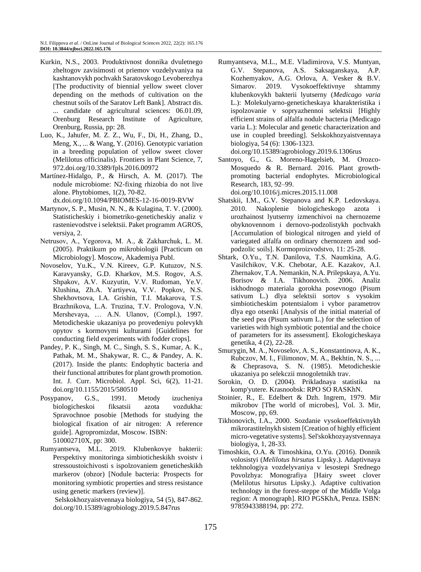- Kurkin, N.S., 2003. Produktivnost donnika dvuletnego zheltogov zavisimosti ot priemov vozdelyvaniya na kashtanovykh pochvakh Saratovskogo Levoberezhya [The productivity of biennial yellow sweet clover depending on the methods of cultivation on the chestnut soils of the Saratov Left Bank]. Abstract dis. ... candidate of agricultural sciences: 06.01.09, Orenburg Research Institute of Agriculture, Orenburg, Russia, pp: 28.
- Luo, K., Jahufer, M. Z. Z., Wu, F., Di, H., Zhang, D., Meng, X., ... & Wang, Y. (2016). Genotypic variation in a breeding population of yellow sweet clover (Melilotus officinalis). Frontiers in Plant Science, 7, 972[.doi.org/10.3389/fpls.2016.00972](http://dx.doi.org/10.3389/fpls.2016.00972)
- Martínez-Hidalgo, P., & Hirsch, A. M. (2017). The nodule microbiome: N2-fixing rhizobia do not live alone. Phytobiomes, 1(2), 70-82. [dx.doi.org/10.1094/PBIOMES-12-16-0019-RVW](http://dx.doi.org/10.1094/PBIOMES-12-16-0019-RVW)
- Martynov, S. P., Musin, N. N., & Kulagina, T. V. (2000). Statisticheskiy i biometriko-geneticheskiy analiz v rastenievodstve i selektsii. Paket programm AGROS, versiya, 2.
- Netrusov, A., Yegorova, M. А., & Zakharchuk, L. M. (2005). Praktikum po mikrobiologii [Practicum on Microbiology]. Moscow, Akademiya Publ.
- Novoselov, Yu.K., V.N. Kireev, G.P. Kutuzov, N.S. Karavyansky, G.D. Kharkov, M.S. Rogov, A.S. Shpakov, A.V. Kuzyutin, V.V. Rudoman, Ye.V. Klushina, Zh.A. Yartiyeva, V.V. Popkov, N.S. Shekhovtsova, I.A. Grishin, T.I. Makarova, T.S. Brazhnikova, L.A. Truzina, T.V. Prologova, V.N. Mershevaya, … A.N. Ulanov, (Compl.), 1997. Metodicheskie ukazaniya po provedeniyu polevykh opytov s kormovymi kulturami [Guidelines for conducting field experiments with fodder crops].
- Pandey, P. K., Singh, M. C., Singh, S. S., Kumar, A. K., Pathak, M. M., Shakywar, R. C., & Pandey, A. K. (2017). Inside the plants: Endophytic bacteria and their functional attributes for plant growth promotion. Int. J. Curr. Microbiol. Appl. Sci, 6(2), 11-21. doi.org/10.1155/2015/580510
- Posypanov, G.S., 1991. Metody izucheniya biologicheskoi fiksatsii azota vozdukha: Spravochnoe posobie [Methods for studying the biological fixation of air nitrogen: A reference guide]. Agropromizdat, Moscow. ISBN: 510002710X, pp: 300.
- Rumyantseva, M.L. 2019. Klubenkovye bakterii: Perspektivy monitoringa simbioticheskikh svoistv i stressoustoichivosti s ispolzovaniem geneticheskikh markerov (obzor) [Nodule bacteria: Prospects for monitoring symbiotic properties and stress resistance using genetic markers (review)].

Selskokhozyaistvennaya biologiya, 54 (5), 847-862. [doi.org/10.15389/agrobiology.2019.5.847rus](https://doi.org/10.15389/agrobiology.2019.5.847rus)

Rumyantseva, M.L., M.E. Vladimirova, V.S. Muntyan, G.V. Stepanova, A.S. Saksaganskaya, A.P. Kozhemyakov, A.G. Orlova, A. Vesker & B.V. Simarov. 2019. Vysokoeffektivnye shtammy klubenkovykh bakterii lyutserny (*Medicago varia*  L.): Molekulyarno-geneticheskaya kharakteristika i ispolzovanie v sopryazhennoi selektsii [Highly efficient strains of alfalfa nodule bacteria (Medicago varia L.): Molecular and genetic characterization and use in coupled breeding]. Selskokhozyaistvennaya biologiya, 54 (6): 1306-1323.

[doi.org/10.15389/agrobiology.2019.6.1306rus](https://doi.org/10.15389/agrobiology.2019.6.1306rus)

Santoyo, G., G. Moreno-Hagelsieb, M. Orozco-Mosquedo & R. Bernard. 2016. Plant growthpromoting bacterial endophytes. Microbiological Research, 183, 92–99.

[doi.org/10.1016/j.micres.2015.11.008](https://doi.org/10.1016/j.micres.2015.11.008)

- Shatskii, I.M., G.V. Stepanova and K.P. Ledovskaya. 2010. Nakoplenie biologicheskogo azota i urozhainost lyutserny izmenchivoi na chernozeme obyknovennom i dernovo-podzolistykh pochvakh [Accumulation of biological nitrogen and yield of variegated alfalfa on ordinary chernozem and sodpodzolic soils]. Kormoproizvodstvo, 11: 25-28.
- Shtark, O.Yu., T.N. Danilova, T.S. Naumkina, A.G. Vasilchikov, V.K. Chebotar, A.E. Kazakov, A.I. Zhernakov, T.A. Nemankin, N.A. Prilepskaya, A.Yu. Borisov & I.A. Tikhonovich. 2006. Analiz iskhodnogo materiala gorokha posevnogo (Pisum sativum L.) dlya selektsii sortov s vysokim simbioticheskim potentsialom i vybor parametrov dlya ego otsenki [Analysis of the initial material of the seed pea (Pisum sativum L.) for the selection of varieties with high symbiotic potential and the choice of parameters for its assessment]. Ekologicheskaya genetika, 4 (2), 22-28.
- Smurygin, M. A., Novoselov, A. S., Konstantinova, A. K., Rubczov, M. I., Filimonov, M. A., Bekhtin, N. S., ... & Cheprasova, S. N. (1985). Metodicheskie ukazaniya po selekczii mnogoletnikh trav.
- Sorokin, O. D. (2004). Prikladnaya statistika na komp'yutere. Krasnoobsk: RPO SO RASKhN.
- Stoinier, R., E. Edelbert & Dzh. Ingrem, 1979. Mir mikrobov [The world of microbes], Vol. 3. Mir, Moscow, pp, 69.
- Tikhonovich, I.A., 2000. Sozdanie vysokoeffektivnykh mikrorastitelnykh sistem [Creation of highly efficient micro-vegetative systems]. Sel'skokhozyaystvennaya biologiya, 1, 28-33.
- Timoshkin, O.A. & Timoshkina, O.Yu. (2016). Donnik volosistyi (*Melilotus hirsutus* Lipsky.). Adaptivnaya tekhnologiya vozdelyvaniya v lesostepi Srednego Povolzhya: Monografiya [Hairy sweet clover (Melilotus hirsutus Lipsky.). Adaptive cultivation technology in the forest-steppe of the Middle Volga region: A monograph]. RIO PGSKhA, Penza. ISBN: 9785943388194, pp: 272.